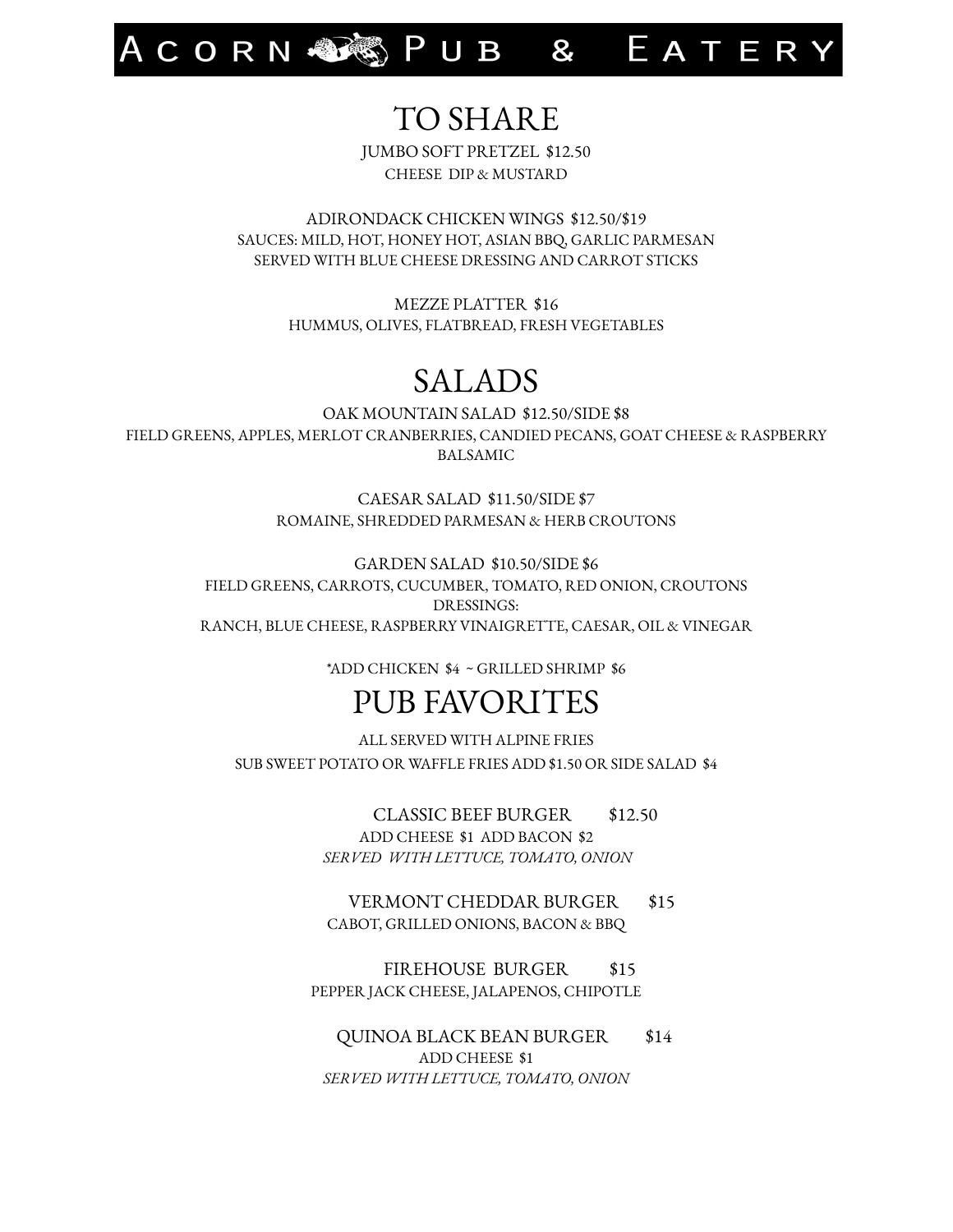ACORN SEND B & EATERY

#### TO SHARE

JUMBO SOFT PRETZEL \$12.50 CHEESE DIP & MUSTARD

ADIRONDACK CHICKEN WINGS \$12.50/\$19 SAUCES: MILD, HOT, HONEY HOT, ASIAN BBQ, GARLIC PARMESAN SERVED WITH BLUE CHEESE DRESSING AND CARROT STICKS

> MEZZE PLATTER \$16 HUMMUS, OLIVES, FLATBREAD, FRESH VEGETABLES

#### SALADS

OAK MOUNTAIN SALAD \$12.50/SIDE \$8 FIELD GREENS, APPLES, MERLOT CRANBERRIES, CANDIED PECANS, GOAT CHEESE & RASPBERRY BALSAMIC

> CAESAR SALAD \$11.50/SIDE \$7 ROMAINE, SHREDDED PARMESAN & HERB CROUTONS

GARDEN SALAD \$10.50/SIDE \$6 FIELD GREENS, CARROTS, CUCUMBER, TOMATO, RED ONION, CROUTONS DRESSINGS: RANCH, BLUE CHEESE, RASPBERRY VINAIGRETTE, CAESAR, OIL & VINEGAR

\*ADD CHICKEN \$4 ~ GRILLED SHRIMP \$6

#### PUB FAVORITES

ALL SERVED WITH ALPINE FRIES SUB SWEET POTATO OR WAFFLE FRIES ADD \$1.50 OR SIDE SALAD \$4

> CLASSIC BEEF BURGER \$12.50 ADD CHEESE \$1 ADD BACON \$2 *SERVED WITH LETTUCE, TOMATO, ONION*

VERMONT CHEDDAR BURGER \$15 CABOT, GRILLED ONIONS, BACON & BBQ

FIREHOUSE BURGER \$15 PEPPER JACK CHEESE, JALAPENOS, CHIPOTLE

QUINOA BLACK BEAN BURGER \$14 ADD CHEESE \$1 *SERVED WITH LETTUCE, TOMATO, ONION*